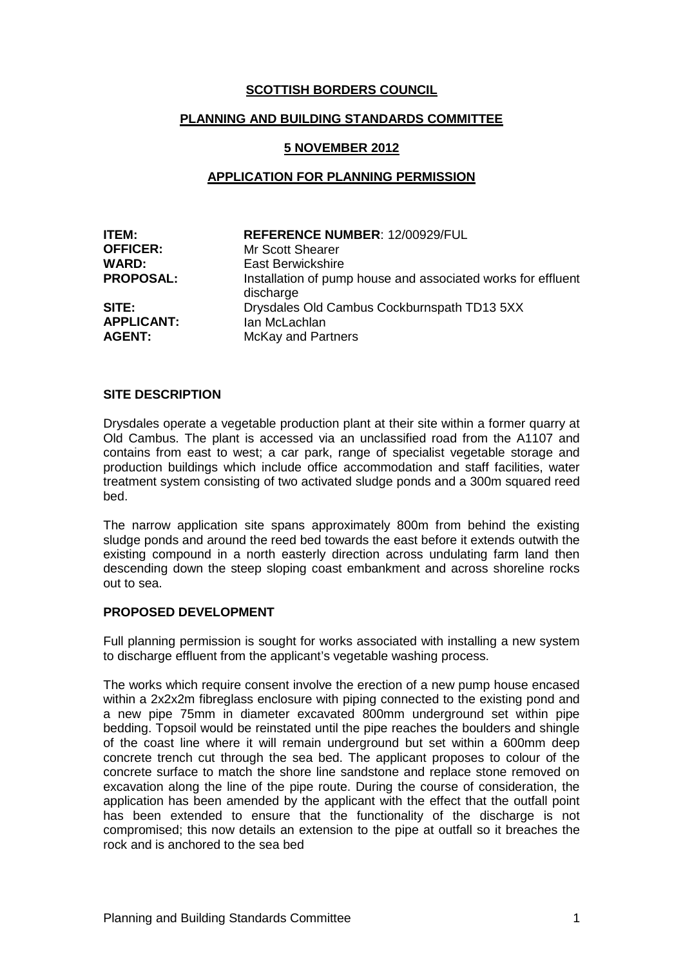# **SCOTTISH BORDERS COUNCIL**

## **PLANNING AND BUILDING STANDARDS COMMITTEE**

#### **5 NOVEMBER 2012**

### **APPLICATION FOR PLANNING PERMISSION**

| ITEM:             | <b>REFERENCE NUMBER: 12/00929/FUL</b>                                     |
|-------------------|---------------------------------------------------------------------------|
| <b>OFFICER:</b>   | Mr Scott Shearer                                                          |
| <b>WARD:</b>      | East Berwickshire                                                         |
| <b>PROPOSAL:</b>  | Installation of pump house and associated works for effluent<br>discharge |
| SITE:             | Drysdales Old Cambus Cockburnspath TD13 5XX                               |
| <b>APPLICANT:</b> | Ian McLachlan                                                             |
| <b>AGENT:</b>     | <b>McKay and Partners</b>                                                 |

#### **SITE DESCRIPTION**

Drysdales operate a vegetable production plant at their site within a former quarry at Old Cambus. The plant is accessed via an unclassified road from the A1107 and contains from east to west; a car park, range of specialist vegetable storage and production buildings which include office accommodation and staff facilities, water treatment system consisting of two activated sludge ponds and a 300m squared reed bed.

The narrow application site spans approximately 800m from behind the existing sludge ponds and around the reed bed towards the east before it extends outwith the existing compound in a north easterly direction across undulating farm land then descending down the steep sloping coast embankment and across shoreline rocks out to sea.

#### **PROPOSED DEVELOPMENT**

Full planning permission is sought for works associated with installing a new system to discharge effluent from the applicant's vegetable washing process.

The works which require consent involve the erection of a new pump house encased within a 2x2x2m fibreglass enclosure with piping connected to the existing pond and a new pipe 75mm in diameter excavated 800mm underground set within pipe bedding. Topsoil would be reinstated until the pipe reaches the boulders and shingle of the coast line where it will remain underground but set within a 600mm deep concrete trench cut through the sea bed. The applicant proposes to colour of the concrete surface to match the shore line sandstone and replace stone removed on excavation along the line of the pipe route. During the course of consideration, the application has been amended by the applicant with the effect that the outfall point has been extended to ensure that the functionality of the discharge is not compromised; this now details an extension to the pipe at outfall so it breaches the rock and is anchored to the sea bed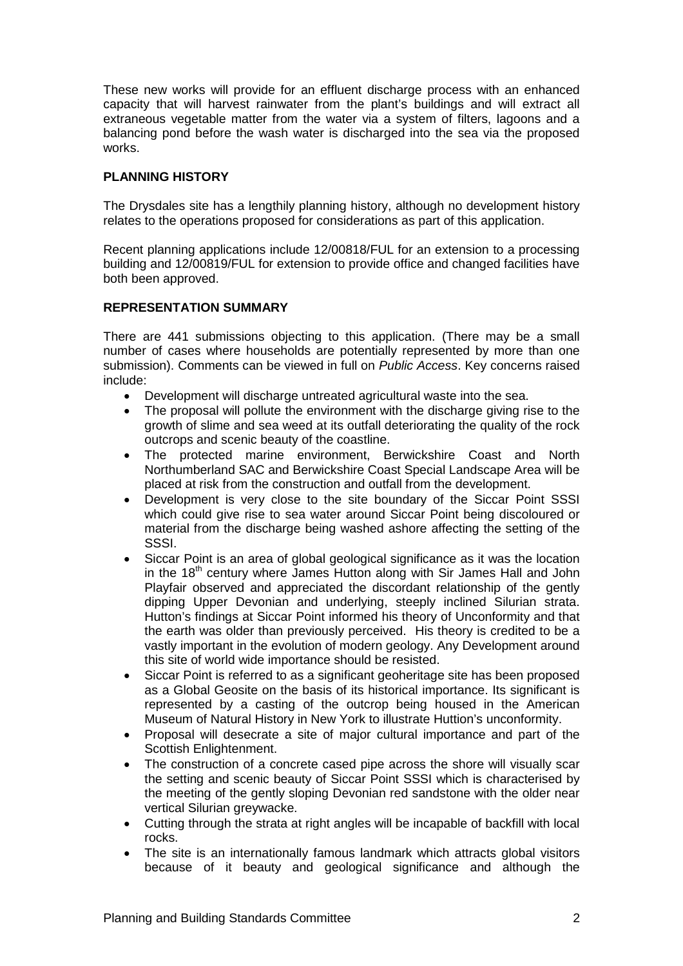These new works will provide for an effluent discharge process with an enhanced capacity that will harvest rainwater from the plant's buildings and will extract all extraneous vegetable matter from the water via a system of filters, lagoons and a balancing pond before the wash water is discharged into the sea via the proposed works.

# **PLANNING HISTORY**

The Drysdales site has a lengthily planning history, although no development history relates to the operations proposed for considerations as part of this application.

Recent planning applications include 12/00818/FUL for an extension to a processing building and 12/00819/FUL for extension to provide office and changed facilities have both been approved.

## **REPRESENTATION SUMMARY**

There are 441 submissions objecting to this application. (There may be a small number of cases where households are potentially represented by more than one submission). Comments can be viewed in full on *Public Access*. Key concerns raised include:

- Development will discharge untreated agricultural waste into the sea.
- The proposal will pollute the environment with the discharge giving rise to the growth of slime and sea weed at its outfall deteriorating the quality of the rock outcrops and scenic beauty of the coastline.
- The protected marine environment, Berwickshire Coast and North Northumberland SAC and Berwickshire Coast Special Landscape Area will be placed at risk from the construction and outfall from the development.
- Development is very close to the site boundary of the Siccar Point SSSI which could give rise to sea water around Siccar Point being discoloured or material from the discharge being washed ashore affecting the setting of the SSSI.
- Siccar Point is an area of global geological significance as it was the location in the 18<sup>th</sup> century where James Hutton along with Sir James Hall and John Playfair observed and appreciated the discordant relationship of the gently dipping Upper Devonian and underlying, steeply inclined Silurian strata. Hutton's findings at Siccar Point informed his theory of Unconformity and that the earth was older than previously perceived. His theory is credited to be a vastly important in the evolution of modern geology. Any Development around this site of world wide importance should be resisted.
- Siccar Point is referred to as a significant geoheritage site has been proposed as a Global Geosite on the basis of its historical importance. Its significant is represented by a casting of the outcrop being housed in the American Museum of Natural History in New York to illustrate Huttion's unconformity.
- Proposal will desecrate a site of major cultural importance and part of the Scottish Enlightenment.
- The construction of a concrete cased pipe across the shore will visually scar the setting and scenic beauty of Siccar Point SSSI which is characterised by the meeting of the gently sloping Devonian red sandstone with the older near vertical Silurian greywacke.
- Cutting through the strata at right angles will be incapable of backfill with local rocks.
- The site is an internationally famous landmark which attracts global visitors because of it beauty and geological significance and although the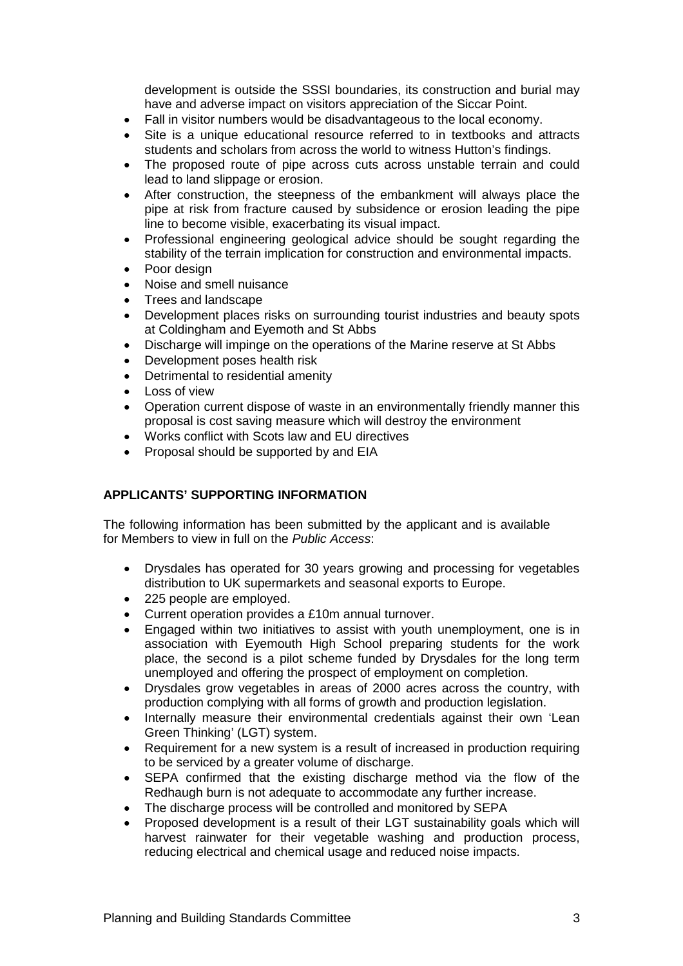development is outside the SSSI boundaries, its construction and burial may have and adverse impact on visitors appreciation of the Siccar Point.

- Fall in visitor numbers would be disadvantageous to the local economy.
- Site is a unique educational resource referred to in textbooks and attracts students and scholars from across the world to witness Hutton's findings.
- The proposed route of pipe across cuts across unstable terrain and could lead to land slippage or erosion.
- After construction, the steepness of the embankment will always place the pipe at risk from fracture caused by subsidence or erosion leading the pipe line to become visible, exacerbating its visual impact.
- Professional engineering geological advice should be sought regarding the stability of the terrain implication for construction and environmental impacts.
- Poor design
- Noise and smell nuisance
- Trees and landscape
- Development places risks on surrounding tourist industries and beauty spots at Coldingham and Eyemoth and St Abbs
- Discharge will impinge on the operations of the Marine reserve at St Abbs
- Development poses health risk
- Detrimental to residential amenity
- Loss of view
- Operation current dispose of waste in an environmentally friendly manner this proposal is cost saving measure which will destroy the environment
- Works conflict with Scots law and EU directives
- Proposal should be supported by and EIA

## **APPLICANTS' SUPPORTING INFORMATION**

The following information has been submitted by the applicant and is available for Members to view in full on the *Public Access*:

- Drysdales has operated for 30 years growing and processing for vegetables distribution to UK supermarkets and seasonal exports to Europe.
- 225 people are employed.
- Current operation provides a £10m annual turnover.
- Engaged within two initiatives to assist with youth unemployment, one is in association with Eyemouth High School preparing students for the work place, the second is a pilot scheme funded by Drysdales for the long term unemployed and offering the prospect of employment on completion.
- Drysdales grow vegetables in areas of 2000 acres across the country, with production complying with all forms of growth and production legislation.
- Internally measure their environmental credentials against their own 'Lean Green Thinking' (LGT) system.
- Requirement for a new system is a result of increased in production requiring to be serviced by a greater volume of discharge.
- SEPA confirmed that the existing discharge method via the flow of the Redhaugh burn is not adequate to accommodate any further increase.
- The discharge process will be controlled and monitored by SEPA
- Proposed development is a result of their LGT sustainability goals which will harvest rainwater for their vegetable washing and production process, reducing electrical and chemical usage and reduced noise impacts.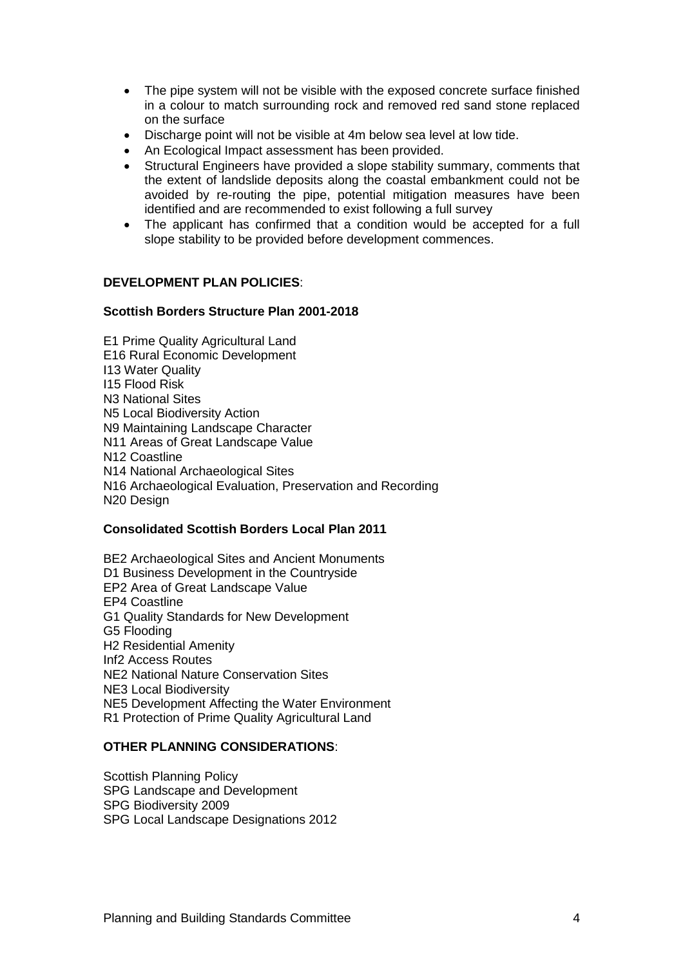- The pipe system will not be visible with the exposed concrete surface finished in a colour to match surrounding rock and removed red sand stone replaced on the surface
- Discharge point will not be visible at 4m below sea level at low tide.
- An Ecological Impact assessment has been provided.
- Structural Engineers have provided a slope stability summary, comments that the extent of landslide deposits along the coastal embankment could not be avoided by re-routing the pipe, potential mitigation measures have been identified and are recommended to exist following a full survey
- The applicant has confirmed that a condition would be accepted for a full slope stability to be provided before development commences.

## **DEVELOPMENT PLAN POLICIES**:

## **Scottish Borders Structure Plan 2001-2018**

E1 Prime Quality Agricultural Land E16 Rural Economic Development I13 Water Quality I15 Flood Risk N3 National Sites N5 Local Biodiversity Action N9 Maintaining Landscape Character N11 Areas of Great Landscape Value N12 Coastline N14 National Archaeological Sites N16 Archaeological Evaluation, Preservation and Recording N20 Design

#### **Consolidated Scottish Borders Local Plan 2011**

BE2 Archaeological Sites and Ancient Monuments D1 Business Development in the Countryside EP2 Area of Great Landscape Value EP4 Coastline G1 Quality Standards for New Development G5 Flooding H2 Residential Amenity Inf2 Access Routes NE2 National Nature Conservation Sites NE3 Local Biodiversity NE5 Development Affecting the Water Environment R1 Protection of Prime Quality Agricultural Land

## **OTHER PLANNING CONSIDERATIONS**:

Scottish Planning Policy SPG Landscape and Development SPG Biodiversity 2009 SPG Local Landscape Designations 2012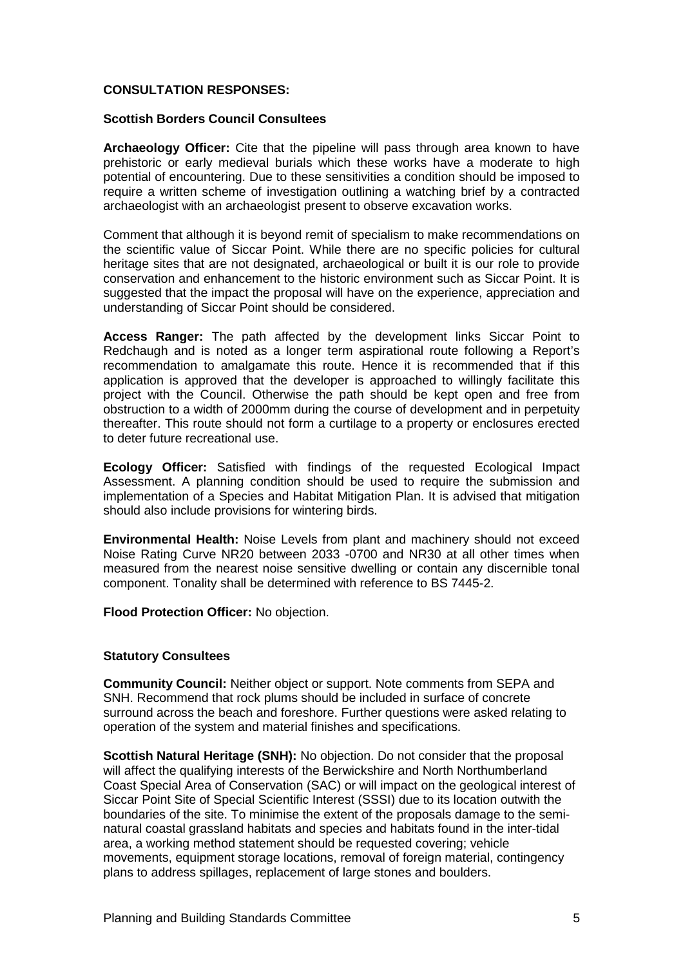## **CONSULTATION RESPONSES:**

#### **Scottish Borders Council Consultees**

**Archaeology Officer:** Cite that the pipeline will pass through area known to have prehistoric or early medieval burials which these works have a moderate to high potential of encountering. Due to these sensitivities a condition should be imposed to require a written scheme of investigation outlining a watching brief by a contracted archaeologist with an archaeologist present to observe excavation works.

Comment that although it is beyond remit of specialism to make recommendations on the scientific value of Siccar Point. While there are no specific policies for cultural heritage sites that are not designated, archaeological or built it is our role to provide conservation and enhancement to the historic environment such as Siccar Point. It is suggested that the impact the proposal will have on the experience, appreciation and understanding of Siccar Point should be considered.

**Access Ranger:** The path affected by the development links Siccar Point to Redchaugh and is noted as a longer term aspirational route following a Report's recommendation to amalgamate this route. Hence it is recommended that if this application is approved that the developer is approached to willingly facilitate this project with the Council. Otherwise the path should be kept open and free from obstruction to a width of 2000mm during the course of development and in perpetuity thereafter. This route should not form a curtilage to a property or enclosures erected to deter future recreational use.

**Ecology Officer:** Satisfied with findings of the requested Ecological Impact Assessment. A planning condition should be used to require the submission and implementation of a Species and Habitat Mitigation Plan. It is advised that mitigation should also include provisions for wintering birds.

**Environmental Health:** Noise Levels from plant and machinery should not exceed Noise Rating Curve NR20 between 2033 -0700 and NR30 at all other times when measured from the nearest noise sensitive dwelling or contain any discernible tonal component. Tonality shall be determined with reference to BS 7445-2.

**Flood Protection Officer:** No objection.

#### **Statutory Consultees**

**Community Council:** Neither object or support. Note comments from SEPA and SNH. Recommend that rock plums should be included in surface of concrete surround across the beach and foreshore. Further questions were asked relating to operation of the system and material finishes and specifications.

**Scottish Natural Heritage (SNH):** No objection. Do not consider that the proposal will affect the qualifying interests of the Berwickshire and North Northumberland Coast Special Area of Conservation (SAC) or will impact on the geological interest of Siccar Point Site of Special Scientific Interest (SSSI) due to its location outwith the boundaries of the site. To minimise the extent of the proposals damage to the seminatural coastal grassland habitats and species and habitats found in the inter-tidal area, a working method statement should be requested covering; vehicle movements, equipment storage locations, removal of foreign material, contingency plans to address spillages, replacement of large stones and boulders.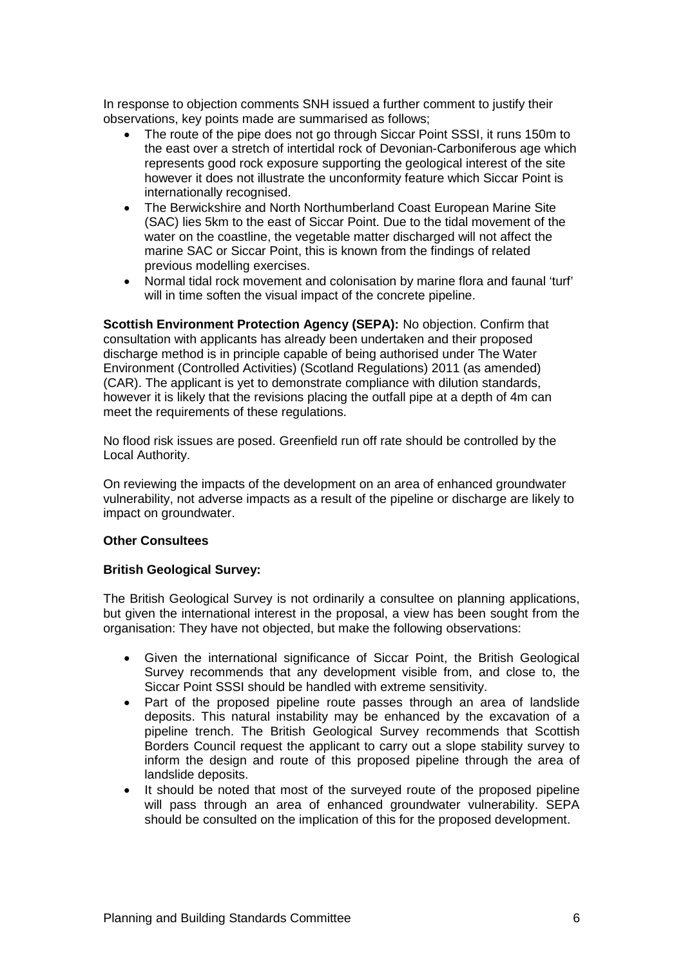In response to objection comments SNH issued a further comment to justify their observations, key points made are summarised as follows;

- The route of the pipe does not go through Siccar Point SSSI, it runs 150m to the east over a stretch of intertidal rock of Devonian-Carboniferous age which represents good rock exposure supporting the geological interest of the site however it does not illustrate the unconformity feature which Siccar Point is internationally recognised.
- The Berwickshire and North Northumberland Coast European Marine Site (SAC) lies 5km to the east of Siccar Point. Due to the tidal movement of the water on the coastline, the vegetable matter discharged will not affect the marine SAC or Siccar Point, this is known from the findings of related previous modelling exercises.
- Normal tidal rock movement and colonisation by marine flora and faunal 'turf' will in time soften the visual impact of the concrete pipeline.

**Scottish Environment Protection Agency (SEPA):** No objection. Confirm that consultation with applicants has already been undertaken and their proposed discharge method is in principle capable of being authorised under The Water Environment (Controlled Activities) (Scotland Regulations) 2011 (as amended) (CAR). The applicant is yet to demonstrate compliance with dilution standards, however it is likely that the revisions placing the outfall pipe at a depth of 4m can meet the requirements of these regulations.

No flood risk issues are posed. Greenfield run off rate should be controlled by the Local Authority.

On reviewing the impacts of the development on an area of enhanced groundwater vulnerability, not adverse impacts as a result of the pipeline or discharge are likely to impact on groundwater.

## **Other Consultees**

## **British Geological Survey:**

The British Geological Survey is not ordinarily a consultee on planning applications, but given the international interest in the proposal, a view has been sought from the organisation: They have not objected, but make the following observations:

- Given the international significance of Siccar Point, the British Geological Survey recommends that any development visible from, and close to, the Siccar Point SSSI should be handled with extreme sensitivity.
- Part of the proposed pipeline route passes through an area of landslide deposits. This natural instability may be enhanced by the excavation of a pipeline trench. The British Geological Survey recommends that Scottish Borders Council request the applicant to carry out a slope stability survey to inform the design and route of this proposed pipeline through the area of landslide deposits.
- It should be noted that most of the surveyed route of the proposed pipeline will pass through an area of enhanced groundwater vulnerability. SEPA should be consulted on the implication of this for the proposed development.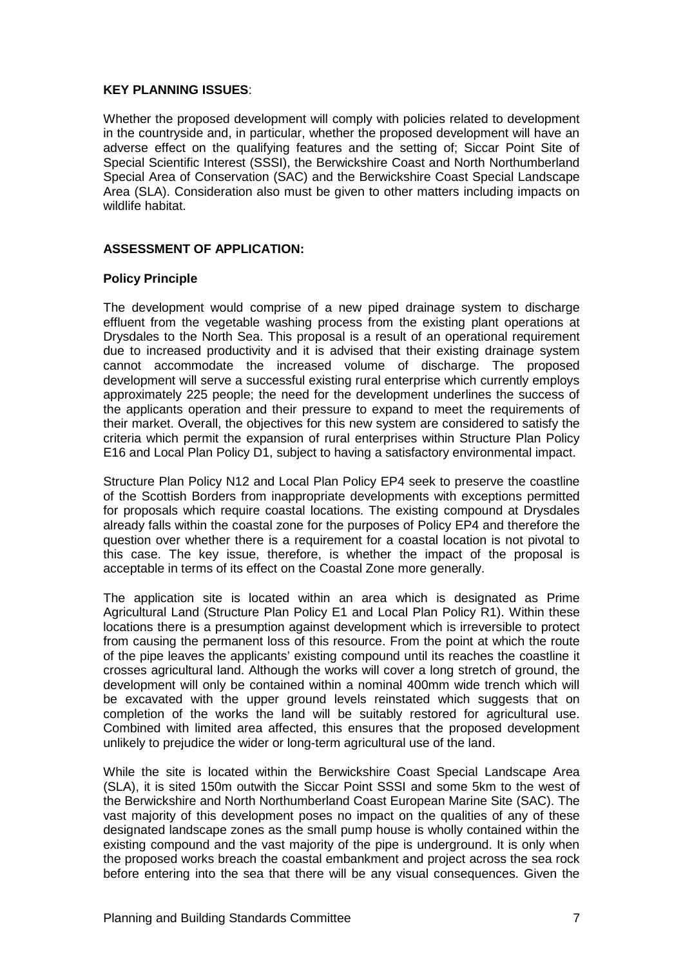### **KEY PLANNING ISSUES**:

Whether the proposed development will comply with policies related to development in the countryside and, in particular, whether the proposed development will have an adverse effect on the qualifying features and the setting of; Siccar Point Site of Special Scientific Interest (SSSI), the Berwickshire Coast and North Northumberland Special Area of Conservation (SAC) and the Berwickshire Coast Special Landscape Area (SLA). Consideration also must be given to other matters including impacts on wildlife habitat.

## **ASSESSMENT OF APPLICATION:**

### **Policy Principle**

The development would comprise of a new piped drainage system to discharge effluent from the vegetable washing process from the existing plant operations at Drysdales to the North Sea. This proposal is a result of an operational requirement due to increased productivity and it is advised that their existing drainage system cannot accommodate the increased volume of discharge. The proposed development will serve a successful existing rural enterprise which currently employs approximately 225 people; the need for the development underlines the success of the applicants operation and their pressure to expand to meet the requirements of their market. Overall, the objectives for this new system are considered to satisfy the criteria which permit the expansion of rural enterprises within Structure Plan Policy E16 and Local Plan Policy D1, subject to having a satisfactory environmental impact.

Structure Plan Policy N12 and Local Plan Policy EP4 seek to preserve the coastline of the Scottish Borders from inappropriate developments with exceptions permitted for proposals which require coastal locations. The existing compound at Drysdales already falls within the coastal zone for the purposes of Policy EP4 and therefore the question over whether there is a requirement for a coastal location is not pivotal to this case. The key issue, therefore, is whether the impact of the proposal is acceptable in terms of its effect on the Coastal Zone more generally.

The application site is located within an area which is designated as Prime Agricultural Land (Structure Plan Policy E1 and Local Plan Policy R1). Within these locations there is a presumption against development which is irreversible to protect from causing the permanent loss of this resource. From the point at which the route of the pipe leaves the applicants' existing compound until its reaches the coastline it crosses agricultural land. Although the works will cover a long stretch of ground, the development will only be contained within a nominal 400mm wide trench which will be excavated with the upper ground levels reinstated which suggests that on completion of the works the land will be suitably restored for agricultural use. Combined with limited area affected, this ensures that the proposed development unlikely to prejudice the wider or long-term agricultural use of the land.

While the site is located within the Berwickshire Coast Special Landscape Area (SLA), it is sited 150m outwith the Siccar Point SSSI and some 5km to the west of the Berwickshire and North Northumberland Coast European Marine Site (SAC). The vast majority of this development poses no impact on the qualities of any of these designated landscape zones as the small pump house is wholly contained within the existing compound and the vast majority of the pipe is underground. It is only when the proposed works breach the coastal embankment and project across the sea rock before entering into the sea that there will be any visual consequences. Given the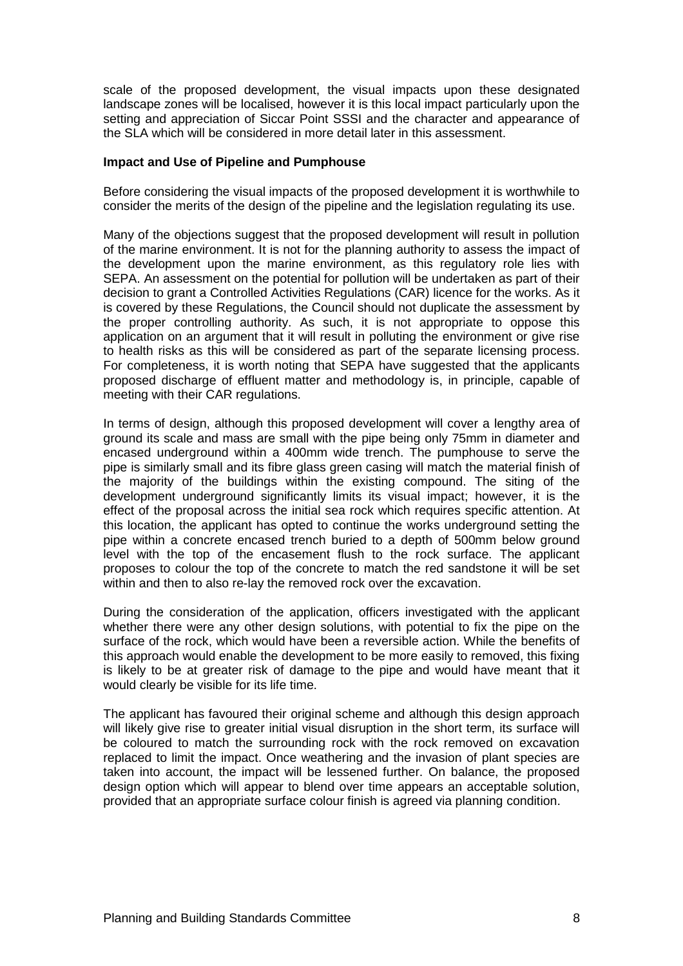scale of the proposed development, the visual impacts upon these designated landscape zones will be localised, however it is this local impact particularly upon the setting and appreciation of Siccar Point SSSI and the character and appearance of the SLA which will be considered in more detail later in this assessment.

#### **Impact and Use of Pipeline and Pumphouse**

Before considering the visual impacts of the proposed development it is worthwhile to consider the merits of the design of the pipeline and the legislation regulating its use.

Many of the objections suggest that the proposed development will result in pollution of the marine environment. It is not for the planning authority to assess the impact of the development upon the marine environment, as this regulatory role lies with SEPA. An assessment on the potential for pollution will be undertaken as part of their decision to grant a Controlled Activities Regulations (CAR) licence for the works. As it is covered by these Regulations, the Council should not duplicate the assessment by the proper controlling authority. As such, it is not appropriate to oppose this application on an argument that it will result in polluting the environment or give rise to health risks as this will be considered as part of the separate licensing process. For completeness, it is worth noting that SEPA have suggested that the applicants proposed discharge of effluent matter and methodology is, in principle, capable of meeting with their CAR regulations.

In terms of design, although this proposed development will cover a lengthy area of ground its scale and mass are small with the pipe being only 75mm in diameter and encased underground within a 400mm wide trench. The pumphouse to serve the pipe is similarly small and its fibre glass green casing will match the material finish of the majority of the buildings within the existing compound. The siting of the development underground significantly limits its visual impact; however, it is the effect of the proposal across the initial sea rock which requires specific attention. At this location, the applicant has opted to continue the works underground setting the pipe within a concrete encased trench buried to a depth of 500mm below ground level with the top of the encasement flush to the rock surface. The applicant proposes to colour the top of the concrete to match the red sandstone it will be set within and then to also re-lay the removed rock over the excavation.

During the consideration of the application, officers investigated with the applicant whether there were any other design solutions, with potential to fix the pipe on the surface of the rock, which would have been a reversible action. While the benefits of this approach would enable the development to be more easily to removed, this fixing is likely to be at greater risk of damage to the pipe and would have meant that it would clearly be visible for its life time.

The applicant has favoured their original scheme and although this design approach will likely give rise to greater initial visual disruption in the short term, its surface will be coloured to match the surrounding rock with the rock removed on excavation replaced to limit the impact. Once weathering and the invasion of plant species are taken into account, the impact will be lessened further. On balance, the proposed design option which will appear to blend over time appears an acceptable solution, provided that an appropriate surface colour finish is agreed via planning condition.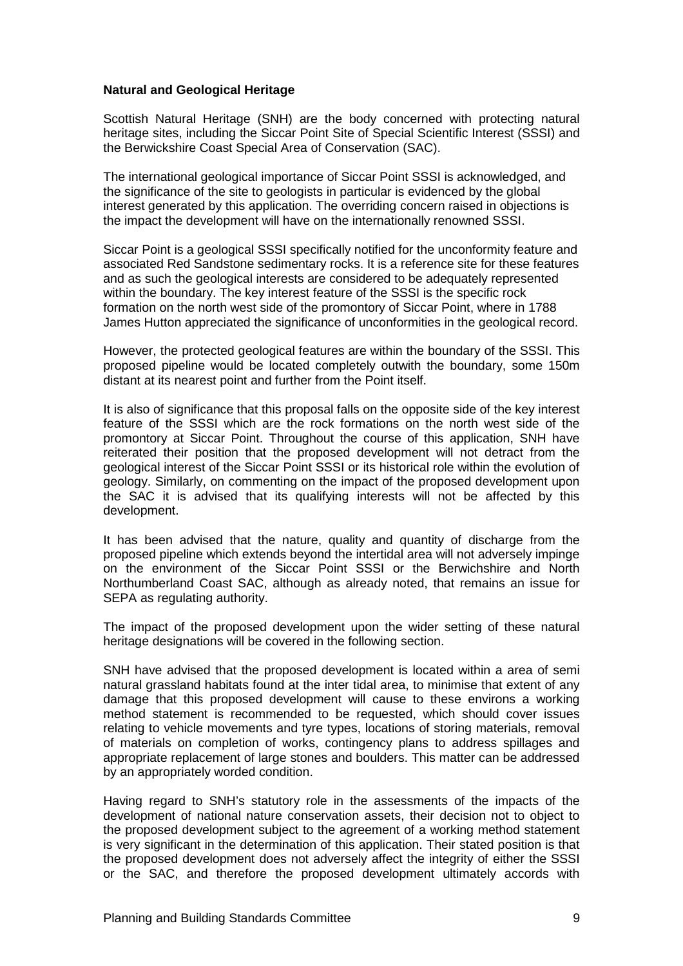### **Natural and Geological Heritage**

Scottish Natural Heritage (SNH) are the body concerned with protecting natural heritage sites, including the Siccar Point Site of Special Scientific Interest (SSSI) and the Berwickshire Coast Special Area of Conservation (SAC).

The international geological importance of Siccar Point SSSI is acknowledged, and the significance of the site to geologists in particular is evidenced by the global interest generated by this application. The overriding concern raised in objections is the impact the development will have on the internationally renowned SSSI.

Siccar Point is a geological SSSI specifically notified for the unconformity feature and associated Red Sandstone sedimentary rocks. It is a reference site for these features and as such the geological interests are considered to be adequately represented within the boundary. The key interest feature of the SSSI is the specific rock formation on the north west side of the promontory of Siccar Point, where in 1788 James Hutton appreciated the significance of unconformities in the geological record.

However, the protected geological features are within the boundary of the SSSI. This proposed pipeline would be located completely outwith the boundary, some 150m distant at its nearest point and further from the Point itself.

It is also of significance that this proposal falls on the opposite side of the key interest feature of the SSSI which are the rock formations on the north west side of the promontory at Siccar Point. Throughout the course of this application, SNH have reiterated their position that the proposed development will not detract from the geological interest of the Siccar Point SSSI or its historical role within the evolution of geology. Similarly, on commenting on the impact of the proposed development upon the SAC it is advised that its qualifying interests will not be affected by this development.

It has been advised that the nature, quality and quantity of discharge from the proposed pipeline which extends beyond the intertidal area will not adversely impinge on the environment of the Siccar Point SSSI or the Berwichshire and North Northumberland Coast SAC, although as already noted, that remains an issue for SEPA as regulating authority.

The impact of the proposed development upon the wider setting of these natural heritage designations will be covered in the following section.

SNH have advised that the proposed development is located within a area of semi natural grassland habitats found at the inter tidal area, to minimise that extent of any damage that this proposed development will cause to these environs a working method statement is recommended to be requested, which should cover issues relating to vehicle movements and tyre types, locations of storing materials, removal of materials on completion of works, contingency plans to address spillages and appropriate replacement of large stones and boulders. This matter can be addressed by an appropriately worded condition.

Having regard to SNH's statutory role in the assessments of the impacts of the development of national nature conservation assets, their decision not to object to the proposed development subject to the agreement of a working method statement is very significant in the determination of this application. Their stated position is that the proposed development does not adversely affect the integrity of either the SSSI or the SAC, and therefore the proposed development ultimately accords with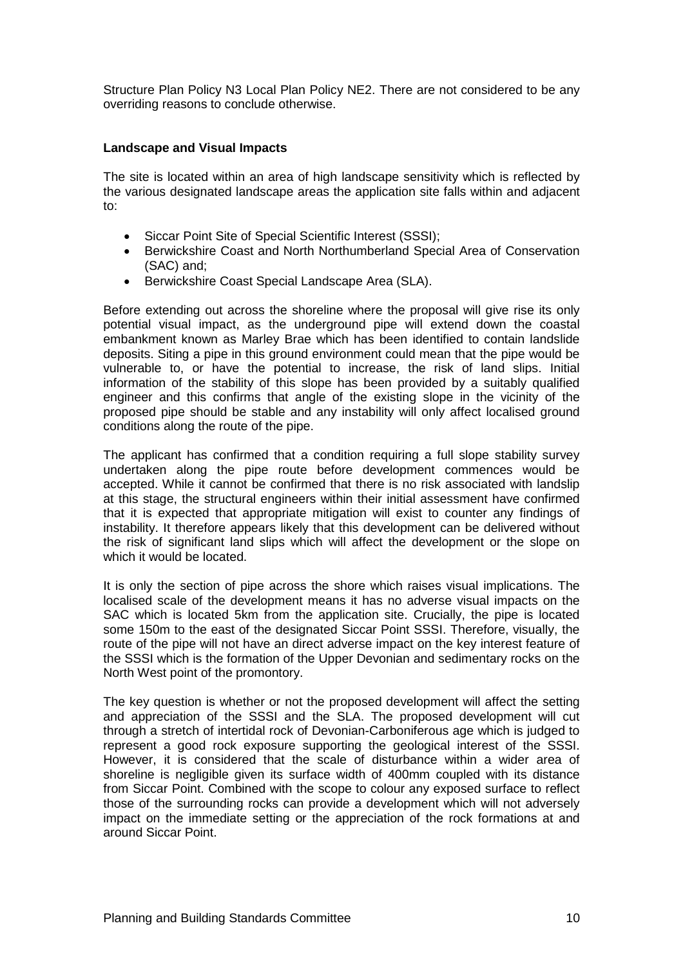Structure Plan Policy N3 Local Plan Policy NE2. There are not considered to be any overriding reasons to conclude otherwise.

### **Landscape and Visual Impacts**

The site is located within an area of high landscape sensitivity which is reflected by the various designated landscape areas the application site falls within and adjacent to:

- Siccar Point Site of Special Scientific Interest (SSSI);
- Berwickshire Coast and North Northumberland Special Area of Conservation (SAC) and;
- Berwickshire Coast Special Landscape Area (SLA).

Before extending out across the shoreline where the proposal will give rise its only potential visual impact, as the underground pipe will extend down the coastal embankment known as Marley Brae which has been identified to contain landslide deposits. Siting a pipe in this ground environment could mean that the pipe would be vulnerable to, or have the potential to increase, the risk of land slips. Initial information of the stability of this slope has been provided by a suitably qualified engineer and this confirms that angle of the existing slope in the vicinity of the proposed pipe should be stable and any instability will only affect localised ground conditions along the route of the pipe.

The applicant has confirmed that a condition requiring a full slope stability survey undertaken along the pipe route before development commences would be accepted. While it cannot be confirmed that there is no risk associated with landslip at this stage, the structural engineers within their initial assessment have confirmed that it is expected that appropriate mitigation will exist to counter any findings of instability. It therefore appears likely that this development can be delivered without the risk of significant land slips which will affect the development or the slope on which it would be located.

It is only the section of pipe across the shore which raises visual implications. The localised scale of the development means it has no adverse visual impacts on the SAC which is located 5km from the application site. Crucially, the pipe is located some 150m to the east of the designated Siccar Point SSSI. Therefore, visually, the route of the pipe will not have an direct adverse impact on the key interest feature of the SSSI which is the formation of the Upper Devonian and sedimentary rocks on the North West point of the promontory.

The key question is whether or not the proposed development will affect the setting and appreciation of the SSSI and the SLA. The proposed development will cut through a stretch of intertidal rock of Devonian-Carboniferous age which is judged to represent a good rock exposure supporting the geological interest of the SSSI. However, it is considered that the scale of disturbance within a wider area of shoreline is negligible given its surface width of 400mm coupled with its distance from Siccar Point. Combined with the scope to colour any exposed surface to reflect those of the surrounding rocks can provide a development which will not adversely impact on the immediate setting or the appreciation of the rock formations at and around Siccar Point.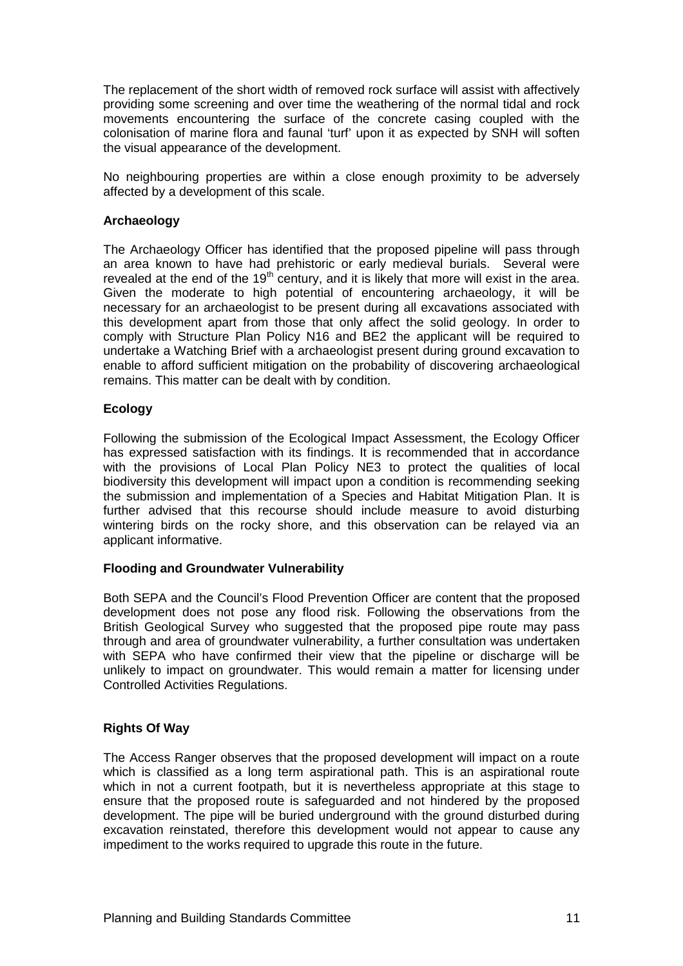The replacement of the short width of removed rock surface will assist with affectively providing some screening and over time the weathering of the normal tidal and rock movements encountering the surface of the concrete casing coupled with the colonisation of marine flora and faunal 'turf' upon it as expected by SNH will soften the visual appearance of the development.

No neighbouring properties are within a close enough proximity to be adversely affected by a development of this scale.

## **Archaeology**

The Archaeology Officer has identified that the proposed pipeline will pass through an area known to have had prehistoric or early medieval burials. Several were revealed at the end of the  $19<sup>th</sup>$  century, and it is likely that more will exist in the area. Given the moderate to high potential of encountering archaeology, it will be necessary for an archaeologist to be present during all excavations associated with this development apart from those that only affect the solid geology. In order to comply with Structure Plan Policy N16 and BE2 the applicant will be required to undertake a Watching Brief with a archaeologist present during ground excavation to enable to afford sufficient mitigation on the probability of discovering archaeological remains. This matter can be dealt with by condition.

### **Ecology**

Following the submission of the Ecological Impact Assessment, the Ecology Officer has expressed satisfaction with its findings. It is recommended that in accordance with the provisions of Local Plan Policy NE3 to protect the qualities of local biodiversity this development will impact upon a condition is recommending seeking the submission and implementation of a Species and Habitat Mitigation Plan. It is further advised that this recourse should include measure to avoid disturbing wintering birds on the rocky shore, and this observation can be relayed via an applicant informative.

#### **Flooding and Groundwater Vulnerability**

Both SEPA and the Council's Flood Prevention Officer are content that the proposed development does not pose any flood risk. Following the observations from the British Geological Survey who suggested that the proposed pipe route may pass through and area of groundwater vulnerability, a further consultation was undertaken with SEPA who have confirmed their view that the pipeline or discharge will be unlikely to impact on groundwater. This would remain a matter for licensing under Controlled Activities Regulations.

## **Rights Of Way**

The Access Ranger observes that the proposed development will impact on a route which is classified as a long term aspirational path. This is an aspirational route which in not a current footpath, but it is nevertheless appropriate at this stage to ensure that the proposed route is safeguarded and not hindered by the proposed development. The pipe will be buried underground with the ground disturbed during excavation reinstated, therefore this development would not appear to cause any impediment to the works required to upgrade this route in the future.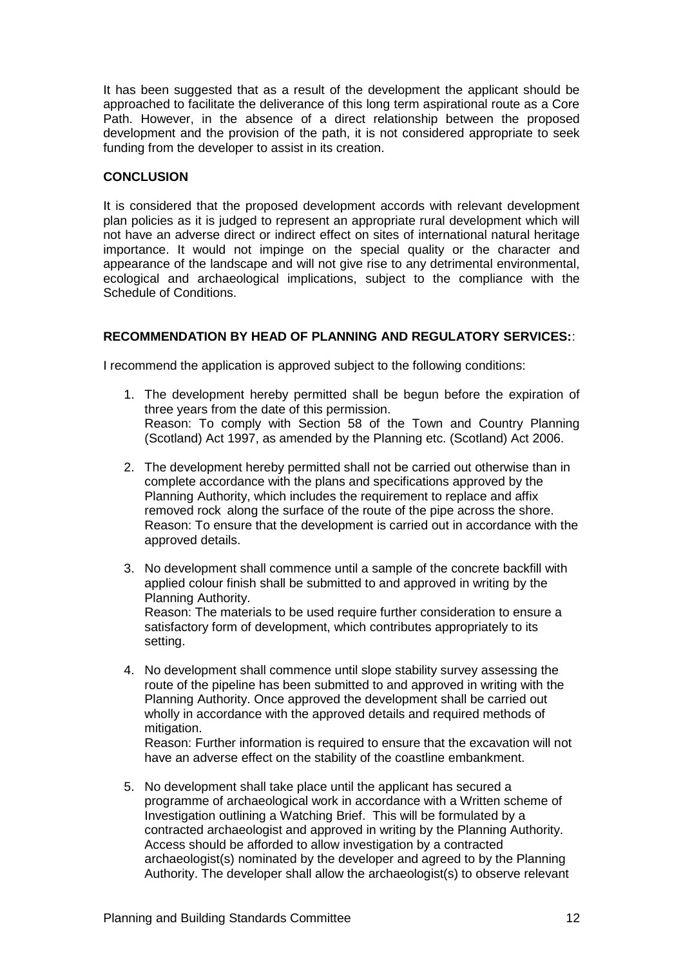It has been suggested that as a result of the development the applicant should be approached to facilitate the deliverance of this long term aspirational route as a Core Path. However, in the absence of a direct relationship between the proposed development and the provision of the path, it is not considered appropriate to seek funding from the developer to assist in its creation.

# **CONCLUSION**

It is considered that the proposed development accords with relevant development plan policies as it is judged to represent an appropriate rural development which will not have an adverse direct or indirect effect on sites of international natural heritage importance. It would not impinge on the special quality or the character and appearance of the landscape and will not give rise to any detrimental environmental, ecological and archaeological implications, subject to the compliance with the Schedule of Conditions.

# **RECOMMENDATION BY HEAD OF PLANNING AND REGULATORY SERVICES:**:

I recommend the application is approved subject to the following conditions:

- 1. The development hereby permitted shall be begun before the expiration of three years from the date of this permission. Reason: To comply with Section 58 of the Town and Country Planning (Scotland) Act 1997, as amended by the Planning etc. (Scotland) Act 2006.
- 2. The development hereby permitted shall not be carried out otherwise than in complete accordance with the plans and specifications approved by the Planning Authority, which includes the requirement to replace and affix removed rock along the surface of the route of the pipe across the shore. Reason: To ensure that the development is carried out in accordance with the approved details.
- 3. No development shall commence until a sample of the concrete backfill with applied colour finish shall be submitted to and approved in writing by the Planning Authority. Reason: The materials to be used require further consideration to ensure a satisfactory form of development, which contributes appropriately to its setting.
- 4. No development shall commence until slope stability survey assessing the route of the pipeline has been submitted to and approved in writing with the Planning Authority. Once approved the development shall be carried out wholly in accordance with the approved details and required methods of mitigation.

Reason: Further information is required to ensure that the excavation will not have an adverse effect on the stability of the coastline embankment.

5. No development shall take place until the applicant has secured a programme of archaeological work in accordance with a Written scheme of Investigation outlining a Watching Brief. This will be formulated by a contracted archaeologist and approved in writing by the Planning Authority. Access should be afforded to allow investigation by a contracted archaeologist(s) nominated by the developer and agreed to by the Planning Authority. The developer shall allow the archaeologist(s) to observe relevant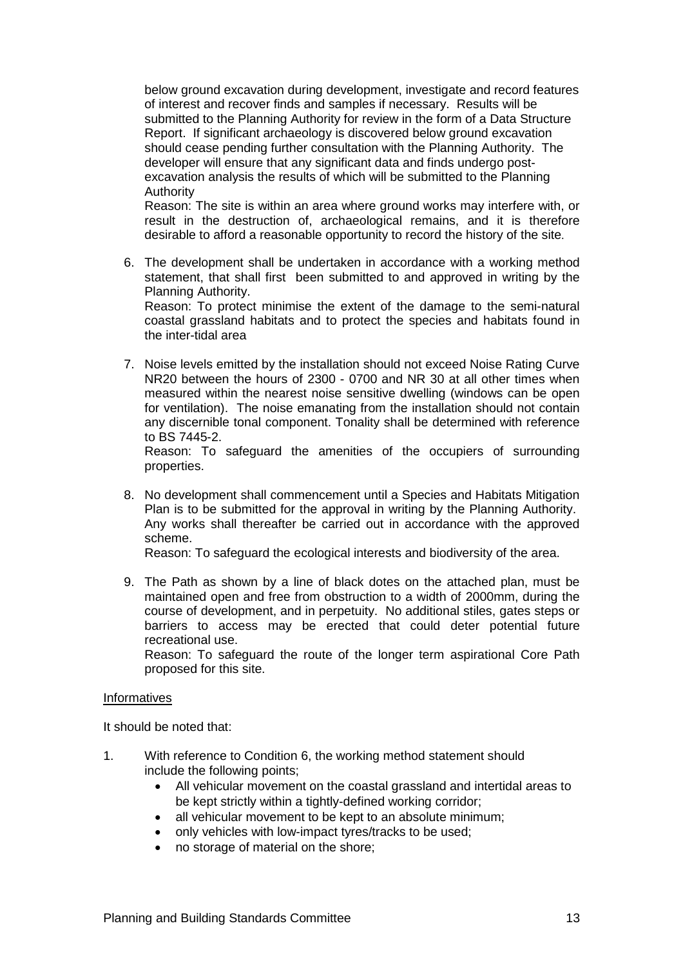below ground excavation during development, investigate and record features of interest and recover finds and samples if necessary. Results will be submitted to the Planning Authority for review in the form of a Data Structure Report. If significant archaeology is discovered below ground excavation should cease pending further consultation with the Planning Authority. The developer will ensure that any significant data and finds undergo postexcavation analysis the results of which will be submitted to the Planning Authority

Reason: The site is within an area where ground works may interfere with, or result in the destruction of, archaeological remains, and it is therefore desirable to afford a reasonable opportunity to record the history of the site*.*

6. The development shall be undertaken in accordance with a working method statement, that shall first been submitted to and approved in writing by the Planning Authority.

Reason: To protect minimise the extent of the damage to the semi-natural coastal grassland habitats and to protect the species and habitats found in the inter-tidal area

7. Noise levels emitted by the installation should not exceed Noise Rating Curve NR20 between the hours of 2300 - 0700 and NR 30 at all other times when measured within the nearest noise sensitive dwelling (windows can be open for ventilation). The noise emanating from the installation should not contain any discernible tonal component. Tonality shall be determined with reference to BS 7445-2.

Reason: To safeguard the amenities of the occupiers of surrounding properties.

8. No development shall commencement until a Species and Habitats Mitigation Plan is to be submitted for the approval in writing by the Planning Authority. Any works shall thereafter be carried out in accordance with the approved scheme.

Reason: To safeguard the ecological interests and biodiversity of the area.

9. The Path as shown by a line of black dotes on the attached plan, must be maintained open and free from obstruction to a width of 2000mm, during the course of development, and in perpetuity. No additional stiles, gates steps or barriers to access may be erected that could deter potential future recreational use.

Reason: To safeguard the route of the longer term aspirational Core Path proposed for this site.

#### Informatives

It should be noted that:

- 1. With reference to Condition 6, the working method statement should include the following points;
	- All vehicular movement on the coastal grassland and intertidal areas to be kept strictly within a tightly-defined working corridor;
	- all vehicular movement to be kept to an absolute minimum;
	- only vehicles with low-impact tyres/tracks to be used;
	- no storage of material on the shore: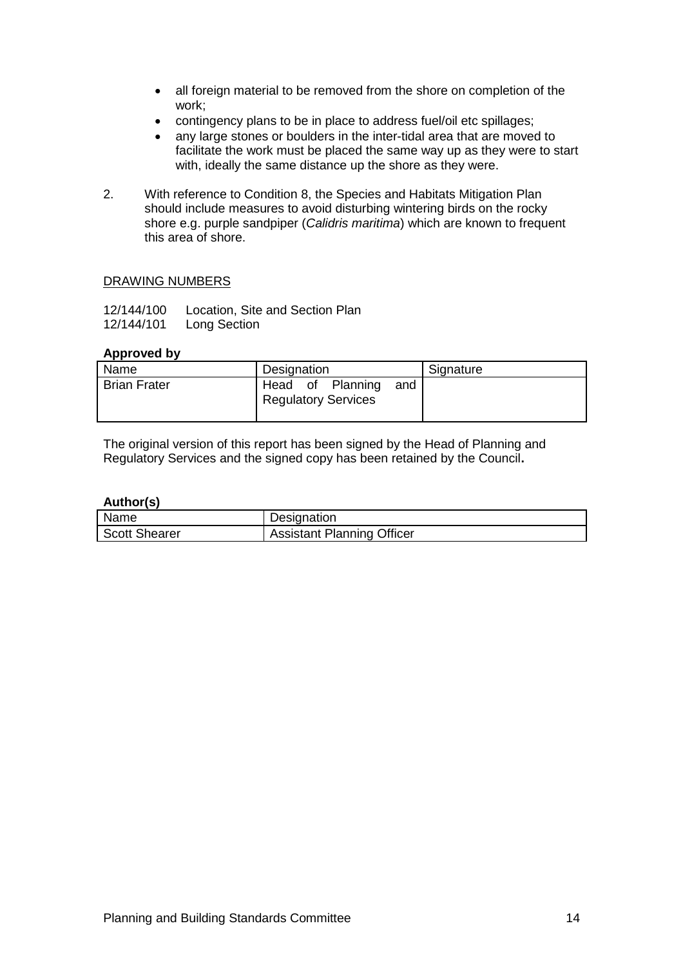- all foreign material to be removed from the shore on completion of the work;
- contingency plans to be in place to address fuel/oil etc spillages;
- any large stones or boulders in the inter-tidal area that are moved to facilitate the work must be placed the same way up as they were to start with, ideally the same distance up the shore as they were.
- 2. With reference to Condition 8, the Species and Habitats Mitigation Plan should include measures to avoid disturbing wintering birds on the rocky shore e.g. purple sandpiper (*Calidris maritima*) which are known to frequent this area of shore.

### DRAWING NUMBERS

| 12/144/100 | Location, Site and Section Plan |
|------------|---------------------------------|
| 12/144/101 | Long Section                    |

### **Approved by**

| Name                | Designation                                        | Signature |
|---------------------|----------------------------------------------------|-----------|
| <b>Brian Frater</b> | Head of Planning and<br><b>Regulatory Services</b> |           |

The original version of this report has been signed by the Head of Planning and Regulatory Services and the signed copy has been retained by the Council**.**

**Author(s)**

| Name                 | Designation                       |
|----------------------|-----------------------------------|
| <b>Scott Shearer</b> | <b>Assistant Planning Officer</b> |